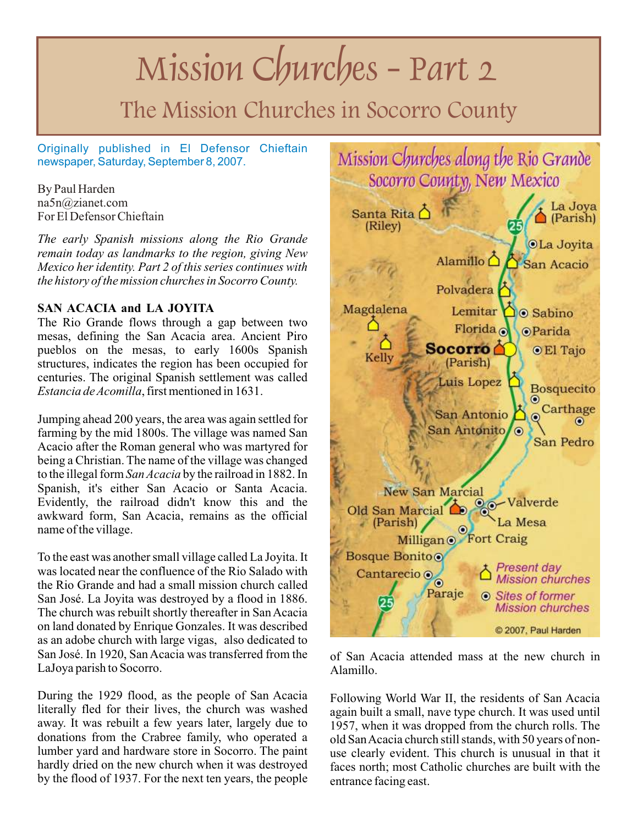# Mission Churches - Part 2

# The Mission Churches in Socorro County

Originally published in El Defensor Chieftain newspaper, Saturday, September 8, 2007.

By Paul Harden na5n@zianet.com For El Defensor Chieftain

*The early Spanish missions along the Rio Grande remain today as landmarks to the region, giving New Mexico her identity. Part 2 of this series continues with the history of the mission churches in Socorro County.*

# **SAN ACACIA and LA JOYITA**

The Rio Grande flows through a gap between two mesas, defining the San Acacia area. Ancient Piro pueblos on the mesas, to early 1600s Spanish structures, indicates the region has been occupied for centuries. The original Spanish settlement was called *Estancia de Acomilla*, first mentioned in 1631.

Jumping ahead 200 years, the area was again settled for farming by the mid 1800s. The village was named San Acacio after the Roman general who was martyred for being a Christian. The name of the village was changed to the illegal form *San Acacia* by the railroad in 1882. In Spanish, it's either San Acacio or Santa Acacia. Evidently, the railroad didn't know this and the awkward form, San Acacia, remains as the official name of the village.

To the east was another small village called La Joyita. It was located near the confluence of the Rio Salado with the Rio Grande and had a small mission church called San José. La Joyita was destroyed by a flood in 1886. The church was rebuilt shortly thereafter in San Acacia on land donated by Enrique Gonzales. It was described as an adobe church with large vigas, also dedicated to San José. In 1920, San Acacia was transferred from the LaJoya parish to Socorro.

During the 1929 flood, as the people of San Acacia literally fled for their lives, the church was washed away. It was rebuilt a few years later, largely due to donations from the Crabree family, who operated a lumber yard and hardware store in Socorro. The paint hardly dried on the new church when it was destroyed by the flood of 1937. For the next ten years, the people



of San Acacia attended mass at the new church in Alamillo.

Following World War II, the residents of San Acacia again built a small, nave type church. It was used until 1957, when it was dropped from the church rolls. The old San Acacia church still stands, with 50 years of nonuse clearly evident. This church is unusual in that it faces north; most Catholic churches are built with the entrance facing east.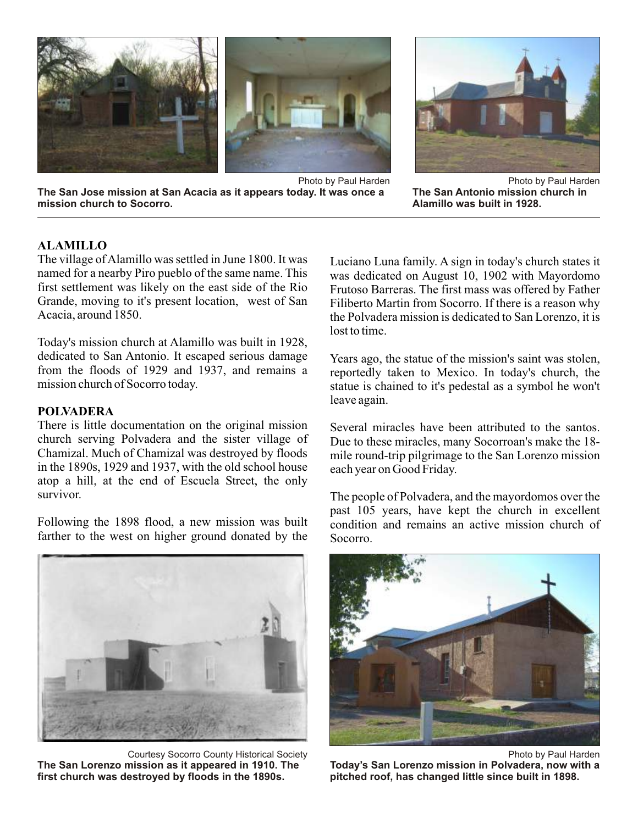





Photo by Paul Harden **The San Antonio mission church in Alamillo was built in 1928.**

# **ALAMILLO**

The village of Alamillo was settled in June 1800. It was named for a nearby Piro pueblo of the same name. This first settlement was likely on the east side of the Rio Grande, moving to it's present location, west of San Acacia, around 1850.

Today's mission church at Alamillo was built in 1928, dedicated to San Antonio. It escaped serious damage from the floods of 1929 and 1937, and remains a mission church of Socorro today.

#### **POLVADERA**

There is little documentation on the original mission church serving Polvadera and the sister village of Chamizal. Much of Chamizal was destroyed by floods in the 1890s, 1929 and 1937, with the old school house atop a hill, at the end of Escuela Street, the only survivor.

Following the 1898 flood, a new mission was built farther to the west on higher ground donated by the

Courtesy Socorro County Historical Society **The San Lorenzo mission as it appeared in 1910. The first church was destroyed by floods in the 1890s.**

Luciano Luna family. A sign in today's church states it was dedicated on August 10, 1902 with Mayordomo Frutoso Barreras. The first mass was offered by Father Filiberto Martin from Socorro. If there is a reason why the Polvadera mission is dedicated to San Lorenzo, it is lost to time.

Years ago, the statue of the mission's saint was stolen, reportedly taken to Mexico. In today's church, the statue is chained to it's pedestal as a symbol he won't leave again.

Several miracles have been attributed to the santos. Due to these miracles, many Socorroan's make the 18 mile round-trip pilgrimage to the San Lorenzo mission each year on Good Friday.

The people of Polvadera, and the mayordomos over the past 105 years, have kept the church in excellent condition and remains an active mission church of Socorro.



Photo by Paul Harden **Today's San Lorenzo mission in Polvadera, now with a pitched roof, has changed little since built in 1898.**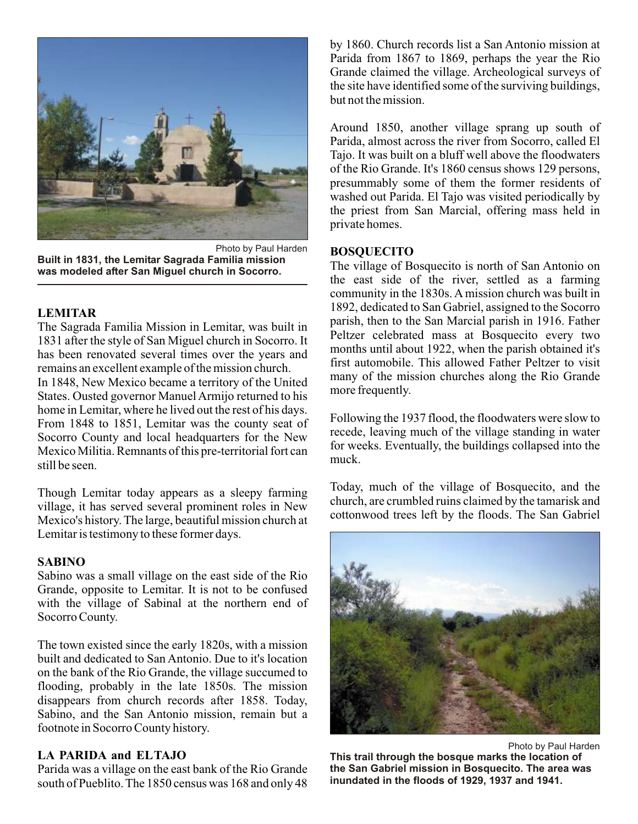

Photo by Paul Harden **Built in 1831, the Lemitar Sagrada Familia mission was modeled after San Miguel church in Socorro.**

#### **LEMITAR**

The Sagrada Familia Mission in Lemitar, was built in 1831 after the style of San Miguel church in Socorro. It has been renovated several times over the years and remains an excellent example of the mission church.

In 1848, New Mexico became a territory of the United States. Ousted governor Manuel Armijo returned to his home in Lemitar, where he lived out the rest of his days. From 1848 to 1851, Lemitar was the county seat of Socorro County and local headquarters for the New Mexico Militia. Remnants of this pre-territorial fort can still be seen.

Though Lemitar today appears as a sleepy farming village, it has served several prominent roles in New Mexico's history. The large, beautiful mission church at Lemitar is testimony to these former days.

#### **SABINO**

Sabino was a small village on the east side of the Rio Grande, opposite to Lemitar. It is not to be confused with the village of Sabinal at the northern end of Socorro County.

The town existed since the early 1820s, with a mission built and dedicated to San Antonio. Due to it's location on the bank of the Rio Grande, the village succumed to flooding, probably in the late 1850s. The mission disappears from church records after 1858. Today, Sabino, and the San Antonio mission, remain but a footnote in Socorro County history.

# **LA PARIDA and ELTAJO**

Parida was a village on the east bank of the Rio Grande south of Pueblito. The 1850 census was 168 and only 48 by 1860. Church records list a San Antonio mission at Parida from 1867 to 1869, perhaps the year the Rio Grande claimed the village. Archeological surveys of the site have identified some of the surviving buildings, but not the mission.

Around 1850, another village sprang up south of Parida, almost across the river from Socorro, called El Tajo. It was built on a bluff well above the floodwaters of the Rio Grande. It's 1860 census shows 129 persons, presummably some of them the former residents of washed out Parida. El Tajo was visited periodically by the priest from San Marcial, offering mass held in private homes.

# **BOSQUECITO**

The village of Bosquecito is north of San Antonio on the east side of the river, settled as a farming community in the 1830s. A mission church was built in 1892, dedicated to San Gabriel, assigned to the Socorro parish, then to the San Marcial parish in 1916. Father Peltzer celebrated mass at Bosquecito every two months until about 1922, when the parish obtained it's first automobile. This allowed Father Peltzer to visit many of the mission churches along the Rio Grande more frequently.

Following the 1937 flood, the floodwaters were slow to recede, leaving much of the village standing in water for weeks. Eventually, the buildings collapsed into the muck.

Today, much of the village of Bosquecito, and the church, are crumbled ruins claimed by the tamarisk and cottonwood trees left by the floods. The San Gabriel



Photo by Paul Harden **This trail through the bosque marks the location of the San Gabriel mission in Bosquecito. The area was inundated in the floods of 1929, 1937 and 1941.**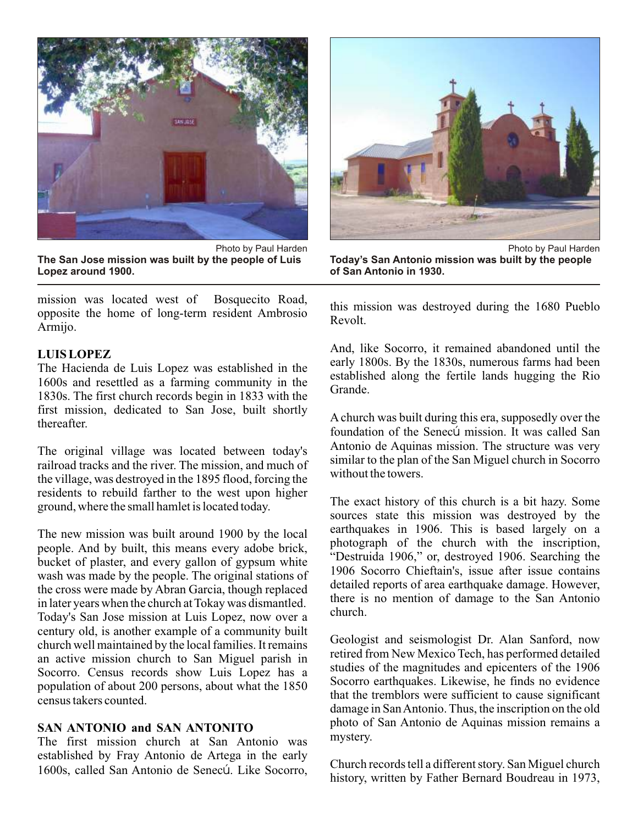

Photo by Paul Harden **The San Jose mission was built by the people of Luis Lopez around 1900.**

mission was located west of Bosquecito Road, opposite the home of long-term resident Ambrosio Armijo.

#### **LUIS LOPEZ**

The Hacienda de Luis Lopez was established in the 1600s and resettled as a farming community in the 1830s. The first church records begin in 1833 with the first mission, dedicated to San Jose, built shortly thereafter.

The original village was located between today's railroad tracks and the river. The mission, and much of the village, was destroyed in the 1895 flood, forcing the residents to rebuild farther to the west upon higher ground, where the small hamlet is located today.

The new mission was built around 1900 by the local people. And by built, this means every adobe brick, bucket of plaster, and every gallon of gypsum white wash was made by the people. The original stations of the cross were made by Abran Garcia, though replaced in later years when the church at Tokay was dismantled. Today's San Jose mission at Luis Lopez, now over a century old, is another example of a community built church well maintained by the local families. It remains an active mission church to San Miguel parish in Socorro. Census records show Luis Lopez has a population of about 200 persons, about what the 1850 census takers counted.

# **SAN ANTONIO and SAN ANTONITO**

The first mission church at San Antonio was established by Fray Antonio de Artega in the early 1600s, called San Antonio de Senecú. Like Socorro,



**Today's San Antonio mission was built by the people of San Antonio in 1930.**

this mission was destroyed during the 1680 Pueblo Revolt.

And, like Socorro, it remained abandoned until the early 1800s. By the 1830s, numerous farms had been established along the fertile lands hugging the Rio Grande.

A church was built during this era, supposedly over the foundation of the Senecú mission. It was called San Antonio de Aquinas mission. The structure was very similar to the plan of the San Miguel church in Socorro without the towers.

The exact history of this church is a bit hazy. Some sources state this mission was destroyed by the earthquakes in 1906. This is based largely on a photograph of the church with the inscription, "Destruida 1906," or, destroyed 1906. Searching the 1906 Socorro Chieftain's, issue after issue contains detailed reports of area earthquake damage. However, there is no mention of damage to the San Antonio church.

Geologist and seismologist Dr. Alan Sanford, now retired from New Mexico Tech, has performed detailed studies of the magnitudes and epicenters of the 1906 Socorro earthquakes. Likewise, he finds no evidence that the tremblors were sufficient to cause significant damage in San Antonio. Thus, the inscription on the old photo of San Antonio de Aquinas mission remains a mystery.

Church records tell a different story. San Miguel church history, written by Father Bernard Boudreau in 1973,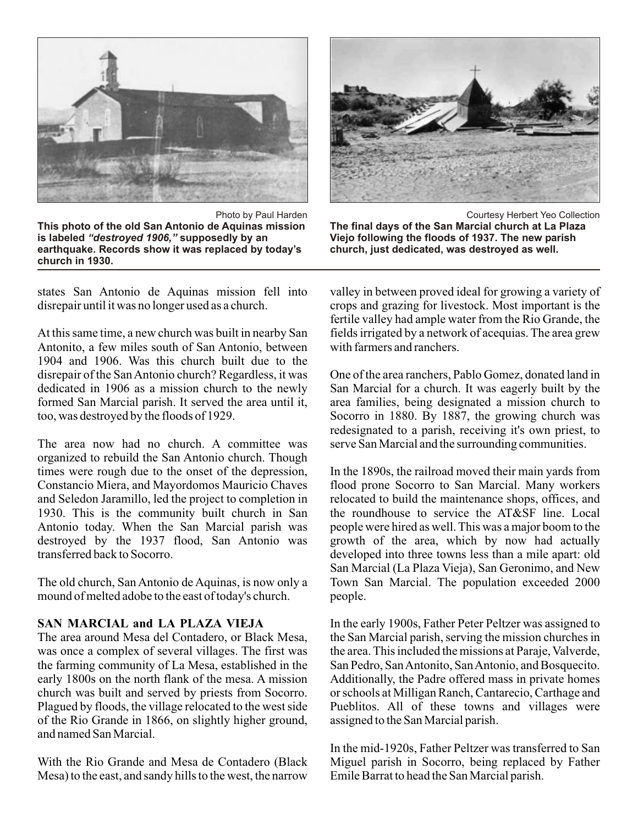

Photo by Paul Harden **This photo of the old San Antonio de Aquinas mission is labeled** *"destroyed 1906,"* **supposedly by an earthquake. Records show it was replaced by today's church in 1930.**

states San Antonio de Aquinas mission fell into disrepair until it was no longer used as a church.

At this same time, a new church was built in nearby San Antonito, a few miles south of San Antonio, between 1904 and 1906. Was this church built due to the disrepair of the San Antonio church? Regardless, it was dedicated in 1906 as a mission church to the newly formed San Marcial parish. It served the area until it, too, was destroyed by the floods of 1929.

The area now had no church. A committee was organized to rebuild the San Antonio church. Though times were rough due to the onset of the depression, Constancio Miera, and Mayordomos Mauricio Chaves and Seledon Jaramillo, led the project to completion in 1930. This is the community built church in San Antonio today. When the San Marcial parish was destroyed by the 1937 flood, San Antonio was transferred back to Socorro.

The old church, San Antonio de Aquinas, is now only a mound of melted adobe to the east of today's church.

# **SAN MARCIAL and LA PLAZA VIEJA**

The area around Mesa del Contadero, or Black Mesa, was once a complex of several villages. The first was the farming community of La Mesa, established in the early 1800s on the north flank of the mesa. A mission church was built and served by priests from Socorro. Plagued by floods, the village relocated to the west side of the Rio Grande in 1866, on slightly higher ground, and named San Marcial.

With the Rio Grande and Mesa de Contadero (Black Mesa) to the east, and sandy hills to the west, the narrow



Courtesy Herbert Yeo Collection **The final days of the San Marcial church at La Plaza Viejo following the floods of 1937. The new parish church, just dedicated, was destroyed as well.**

valley in between proved ideal for growing a variety of crops and grazing for livestock. Most important is the fertile valley had ample water from the Rio Grande, the fields irrigated by a network of acequias. The area grew with farmers and ranchers.

One of the area ranchers, Pablo Gomez, donated land in San Marcial for a church. It was eagerly built by the area families, being designated a mission church to Socorro in 1880. By 1887, the growing church was redesignated to a parish, receiving it's own priest, to serve San Marcial and the surrounding communities.

In the 1890s, the railroad moved their main yards from flood prone Socorro to San Marcial. Many workers relocated to build the maintenance shops, offices, and the roundhouse to service the AT&SF line. Local people were hired as well. This was a major boom to the growth of the area, which by now had actually developed into three towns less than a mile apart: old San Marcial (La Plaza Vieja), San Geronimo, and New Town San Marcial. The population exceeded 2000 people.

In the early 1900s, Father Peter Peltzer was assigned to the San Marcial parish, serving the mission churches in the area. This included the missions at Paraje, Valverde, San Pedro, San Antonito, San Antonio, and Bosquecito. Additionally, the Padre offered mass in private homes or schools at Milligan Ranch, Cantarecio, Carthage and Pueblitos. All of these towns and villages were assigned to the San Marcial parish.

In the mid-1920s, Father Peltzer was transferred to San Miguel parish in Socorro, being replaced by Father Emile Barrat to head the San Marcial parish.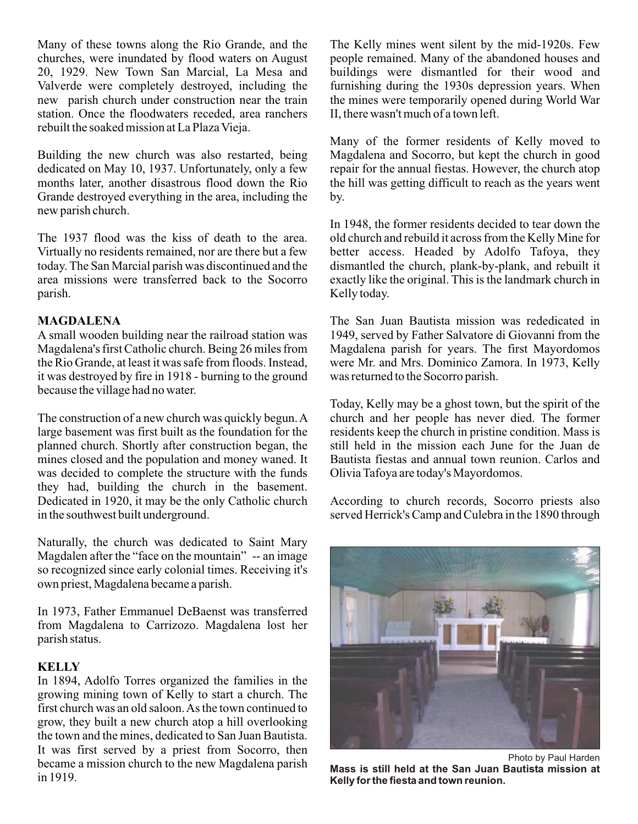Many of these towns along the Rio Grande, and the churches, were inundated by flood waters on August 20, 1929. New Town San Marcial, La Mesa and Valverde were completely destroyed, including the new parish church under construction near the train station. Once the floodwaters receded, area ranchers rebuilt the soaked mission at La Plaza Vieja.

Building the new church was also restarted, being dedicated on May 10, 1937. Unfortunately, only a few months later, another disastrous flood down the Rio Grande destroyed everything in the area, including the new parish church.

The 1937 flood was the kiss of death to the area. Virtually no residents remained, nor are there but a few today. The San Marcial parish was discontinued and the area missions were transferred back to the Socorro parish.

# **MAGDALENA**

A small wooden building near the railroad station was Magdalena's first Catholic church. Being 26 miles from the Rio Grande, at least it was safe from floods. Instead, it was destroyed by fire in 1918 - burning to the ground because the village had no water.

The construction of a new church was quickly begun. A large basement was first built as the foundation for the planned church. Shortly after construction began, the mines closed and the population and money waned. It was decided to complete the structure with the funds they had, building the church in the basement. Dedicated in 1920, it may be the only Catholic church in the southwest built underground.

Naturally, the church was dedicated to Saint Mary Magdalen after the "face on the mountain" -- an image so recognized since early colonial times. Receiving it's own priest, Magdalena became a parish.

In 1973, Father Emmanuel DeBaenst was transferred from Magdalena to Carrizozo. Magdalena lost her parish status.

# **KELLY**

In 1894, Adolfo Torres organized the families in the growing mining town of Kelly to start a church. The first church was an old saloon. As the town continued to grow, they built a new church atop a hill overlooking the town and the mines, dedicated to San Juan Bautista. It was first served by a priest from Socorro, then became a mission church to the new Magdalena parish in 1919.

The Kelly mines went silent by the mid-1920s. Few people remained. Many of the abandoned houses and buildings were dismantled for their wood and furnishing during the 1930s depression years. When the mines were temporarily opened during World War II, there wasn't much of a town left.

Many of the former residents of Kelly moved to Magdalena and Socorro, but kept the church in good repair for the annual fiestas. However, the church atop the hill was getting difficult to reach as the years went by.

In 1948, the former residents decided to tear down the old church and rebuild it across from the Kelly Mine for better access. Headed by Adolfo Tafoya, they dismantled the church, plank-by-plank, and rebuilt it exactly like the original. This is the landmark church in Kelly today.

The San Juan Bautista mission was rededicated in 1949, served by Father Salvatore di Giovanni from the Magdalena parish for years. The first Mayordomos were Mr. and Mrs. Dominico Zamora. In 1973, Kelly was returned to the Socorro parish.

Today, Kelly may be a ghost town, but the spirit of the church and her people has never died. The former residents keep the church in pristine condition. Mass is still held in the mission each June for the Juan de Bautista fiestas and annual town reunion. Carlos and Olivia Tafoya are today's Mayordomos.

According to church records, Socorro priests also served Herrick's Camp and Culebra in the 1890 through



Photo by Paul Harden **Mass is still held at the San Juan Bautista mission at Kelly for the fiesta and town reunion.**